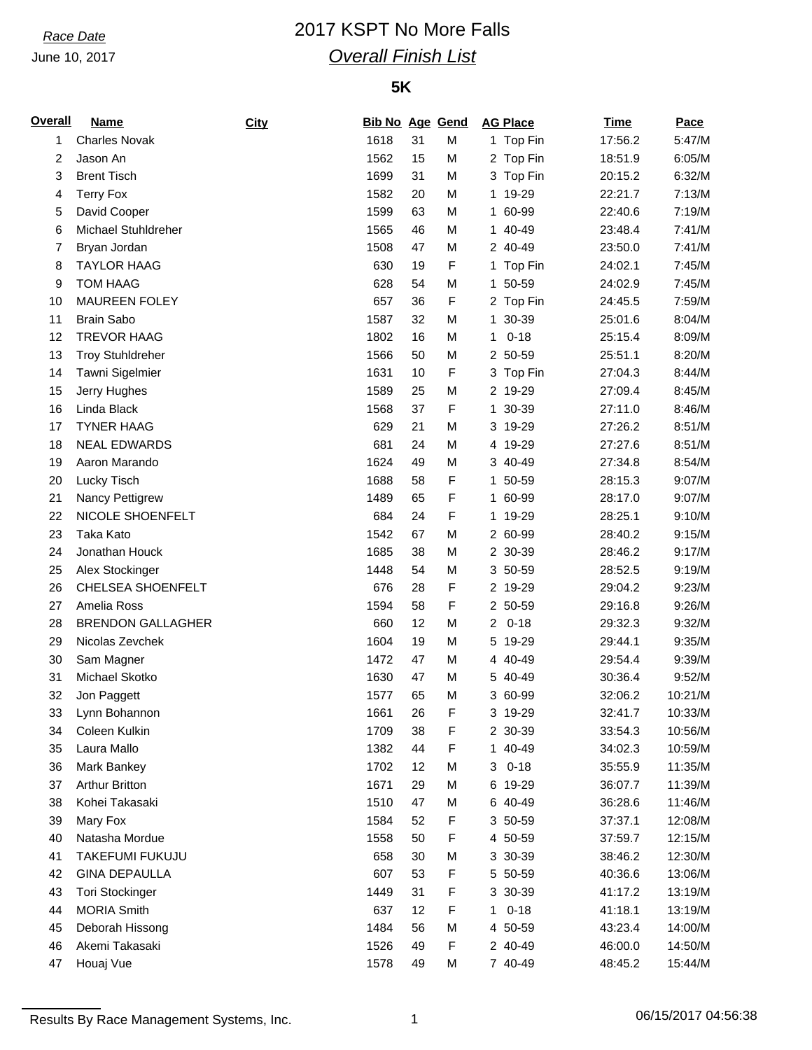June 10, 2017

# *Race Date* 2017 KSPT No More Falls *Overall Finish List*

### **5K**

| <b>Overall</b> | Name                     | City | <b>Bib No Age Gend</b> |    |   | <b>AG Place</b>            | <b>Time</b> | Pace             |
|----------------|--------------------------|------|------------------------|----|---|----------------------------|-------------|------------------|
| 1              | <b>Charles Novak</b>     |      | 1618                   | 31 | M | 1 Top Fin                  | 17:56.2     | 5:47/M           |
| 2              | Jason An                 |      | 1562                   | 15 | M | 2 Top Fin                  | 18:51.9     | 6:05/M           |
| 3              | <b>Brent Tisch</b>       |      | 1699                   | 31 | M | 3 Top Fin                  | 20:15.2     | 6:32/M           |
| 4              | <b>Terry Fox</b>         |      | 1582                   | 20 | M | 19-29<br>1                 | 22:21.7     | 7:13/M           |
| 5              | David Cooper             |      | 1599                   | 63 | M | 60-99<br>1                 | 22:40.6     | 7:19/M           |
| 6              | Michael Stuhldreher      |      | 1565                   | 46 | M | 1 40-49                    | 23:48.4     | 7:41/M           |
| 7              | Bryan Jordan             |      | 1508                   | 47 | M | 2 40-49                    | 23:50.0     | 7:41/M           |
| 8              | <b>TAYLOR HAAG</b>       |      | 630                    | 19 | F | 1 Top Fin                  | 24:02.1     | 7:45/M           |
| 9              | <b>TOM HAAG</b>          |      | 628                    | 54 | M | 50-59<br>1                 | 24:02.9     | 7:45/M           |
| 10             | MAUREEN FOLEY            |      | 657                    | 36 | F | 2 Top Fin                  | 24:45.5     | 7:59/M           |
| 11             | <b>Brain Sabo</b>        |      | 1587                   | 32 | M | 1 30-39                    | 25:01.6     | 8:04/M           |
| 12             | <b>TREVOR HAAG</b>       |      | 1802                   | 16 | M | $0 - 18$<br>1              | 25:15.4     | 8:09/M           |
| 13             | <b>Troy Stuhldreher</b>  |      | 1566                   | 50 | M | 2 50-59                    | 25:51.1     | 8:20/M           |
| 14             | Tawni Sigelmier          |      | 1631                   | 10 | F | 3 Top Fin                  | 27:04.3     | 8:44/M           |
| 15             | Jerry Hughes             |      | 1589                   | 25 | M | 2 19-29                    | 27:09.4     | 8:45/M           |
| 16             | Linda Black              |      | 1568                   | 37 | F | 30-39<br>1                 | 27:11.0     | 8:46/M           |
| 17             | <b>TYNER HAAG</b>        |      | 629                    | 21 | M | 3 19-29                    | 27:26.2     | 8:51/M           |
| 18             | <b>NEAL EDWARDS</b>      |      | 681                    | 24 | M | 4 19-29                    | 27:27.6     | 8:51/M           |
| 19             | Aaron Marando            |      | 1624                   | 49 | M | 3 40-49                    | 27:34.8     | 8:54/M           |
| 20             | Lucky Tisch              |      | 1688                   | 58 | F | 1 50-59                    | 28:15.3     | 9:07/M           |
| 21             | Nancy Pettigrew          |      | 1489                   | 65 | F | 1 60-99                    | 28:17.0     | 9:07/M           |
| 22             | NICOLE SHOENFELT         |      | 684                    | 24 | F | 1 19-29                    | 28:25.1     | 9:10/M           |
| 23             | Taka Kato                |      | 1542                   | 67 | M | 2 60-99                    | 28:40.2     | 9:15/M           |
| 24             | Jonathan Houck           |      | 1685                   | 38 | M | 2 30-39                    | 28:46.2     | 9:17/M           |
| 25             | Alex Stockinger          |      | 1448                   | 54 | M | 3 50-59                    | 28:52.5     | 9:19/M           |
|                | CHELSEA SHOENFELT        |      |                        |    |   |                            | 29:04.2     |                  |
| 26             |                          |      | 676                    | 28 | F | 2 19-29<br>2 50-59         |             | 9:23/M<br>9:26/M |
| 27             | Amelia Ross              |      | 1594                   | 58 | F |                            | 29:16.8     |                  |
| 28             | <b>BRENDON GALLAGHER</b> |      | 660                    | 12 | M | $0 - 18$<br>$\overline{2}$ | 29:32.3     | 9:32/M           |
| 29             | Nicolas Zevchek          |      | 1604                   | 19 | M | 19-29<br>5                 | 29:44.1     | 9:35/M           |
| 30             | Sam Magner               |      | 1472                   | 47 | M | 4 40-49                    | 29:54.4     | 9:39/M           |
| 31             | Michael Skotko           |      | 1630                   | 47 | M | 5 40-49                    | 30:36.4     | 9:52/M           |
| 32             | Jon Paggett              |      | 1577                   | 65 | M | 3 60-99                    | 32:06.2     | 10:21/M          |
| 33             | Lynn Bohannon            |      | 1661                   | 26 | F | 3 19-29                    | 32:41.7     | 10:33/M          |
| 34             | Coleen Kulkin            |      | 1709                   | 38 | F | 2 30-39                    | 33:54.3     | 10:56/M          |
| 35             | Laura Mallo              |      | 1382                   | 44 | F | 1 40-49                    | 34:02.3     | 10:59/M          |
| 36             | Mark Bankey              |      | 1702                   | 12 | М | $0 - 18$<br>3              | 35:55.9     | 11:35/M          |
| 37             | <b>Arthur Britton</b>    |      | 1671                   | 29 | M | 6 19-29                    | 36:07.7     | 11:39/M          |
| 38             | Kohei Takasaki           |      | 1510                   | 47 | М | 6 40-49                    | 36:28.6     | 11:46/M          |
| 39             | Mary Fox                 |      | 1584                   | 52 | F | 3 50-59                    | 37:37.1     | 12:08/M          |
| 40             | Natasha Mordue           |      | 1558                   | 50 | F | 4 50-59                    | 37:59.7     | 12:15/M          |
| 41             | TAKEFUMI FUKUJU          |      | 658                    | 30 | М | 3 30-39                    | 38:46.2     | 12:30/M          |
| 42             | <b>GINA DEPAULLA</b>     |      | 607                    | 53 | F | 5 50-59                    | 40:36.6     | 13:06/M          |
| 43             | <b>Tori Stockinger</b>   |      | 1449                   | 31 | F | 3 30-39                    | 41:17.2     | 13:19/M          |
| 44             | <b>MORIA Smith</b>       |      | 637                    | 12 | F | $0 - 18$<br>1              | 41:18.1     | 13:19/M          |
| 45             | Deborah Hissong          |      | 1484                   | 56 | М | 4 50-59                    | 43:23.4     | 14:00/M          |
| 46             | Akemi Takasaki           |      | 1526                   | 49 | F | 2 40-49                    | 46:00.0     | 14:50/M          |
| 47             | Houaj Vue                |      | 1578                   | 49 | M | 7 40-49                    | 48:45.2     | 15:44/M          |

Results By Race Management Systems, Inc. 1 06/15/2017 04:56:38